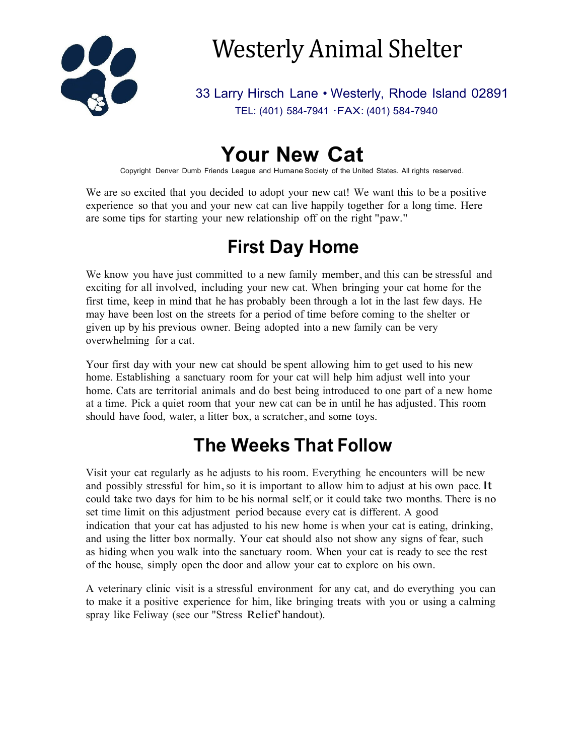

# Westerly Animal Shelter

33 Larry Hirsch Lane • Westerly, Rhode Island 02891 TEL: (401) 584-7941 ·FAX: (401) 584-7940

## **Your New Cat**

Copyright Denver Dumb Friends League and Humane Society of the United States. All rights reserved.

We are so excited that you decided to adopt your new cat! We want this to be a positive experience so that you and your new cat can live happily together for a long time. Here are some tips for starting your new relationship off on the right "paw."

### **First Day Home**

We know you have just committed to a new family member, and this can be stressful and exciting for all involved, including your new cat. When bringing your cat home for the first time, keep in mind that he has probably been through a lot in the last few days. He may have been lost on the streets for a period of time before coming to the shelter or given up by his previous owner. Being adopted into a new family can be very overwhelming for a cat.

Your first day with your new cat should be spent allowing him to get used to his new home. Establishing a sanctuary room for your cat will help him adjust well into your home. Cats are territorial animals and do best being introduced to one part of a new home at a time. Pick a quiet room that your new cat can be in until he has adjusted. This room should have food, water, a litter box, a scratcher, and some toys.

#### **The Weeks That Follow**

Visit your cat regularly as he adjusts to his room. Everything he encounters will be new and possibly stressful for him, so it is important to allow him to adjust at his own pace. It could take two days for him to be his normal self, or it could take two months. There is no set time limit on this adjustment period because every cat is different. A good indication that your cat has adjusted to his new home is when your cat is eating, drinking, and using the litter box normally. Your cat should also not show any signs of fear, such as hiding when you walk into the sanctuary room. When your cat is ready to see the rest of the house, simply open the door and allow your cat to explore on his own.

A veterinary clinic visit is a stressful environment for any cat, and do everything you can to make it a positive experience for him, like bringing treats with you or using a calming spray like Feliway (see our "Stress Relief' handout).